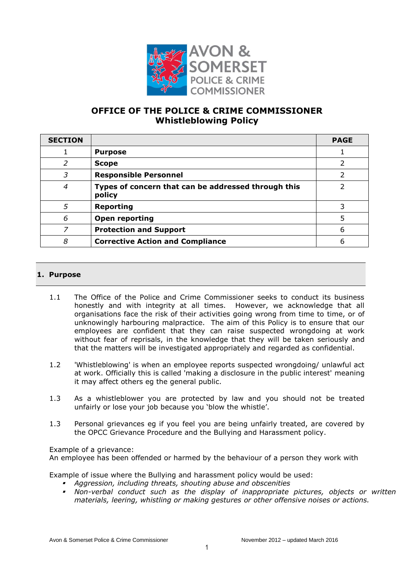

# **OFFICE OF THE POLICE & CRIME COMMISSIONER Whistleblowing Policy**

| <b>SECTION</b> |                                                               | <b>PAGE</b> |
|----------------|---------------------------------------------------------------|-------------|
|                | <b>Purpose</b>                                                |             |
| 2              | <b>Scope</b>                                                  |             |
| 3              | <b>Responsible Personnel</b>                                  |             |
| 4              | Types of concern that can be addressed through this<br>policy |             |
| 5              | <b>Reporting</b>                                              |             |
| 6              | <b>Open reporting</b>                                         | 5           |
| 7              | <b>Protection and Support</b>                                 | 6           |
| 8              | <b>Corrective Action and Compliance</b>                       | 6           |

# **1. Purpose**

- 1.1 The Office of the Police and Crime Commissioner seeks to conduct its business honestly and with integrity at all times. However, we acknowledge that all organisations face the risk of their activities going wrong from time to time, or of unknowingly harbouring malpractice. The aim of this Policy is to ensure that our employees are confident that they can raise suspected wrongdoing at work without fear of reprisals, in the knowledge that they will be taken seriously and that the matters will be investigated appropriately and regarded as confidential.
- 1.2 'Whistleblowing' is when an employee reports suspected wrongdoing/ unlawful act at work. Officially this is called 'making a disclosure in the public interest' meaning it may affect others eg the general public.
- 1.3 As a whistleblower you are protected by law and you should not be treated unfairly or lose your job because you 'blow the whistle'.
- 1.3 Personal grievances eg if you feel you are being unfairly treated, are covered by the OPCC Grievance Procedure and the Bullying and Harassment policy.

Example of a grievance: An employee has been offended or harmed by the behaviour of a person they work with

Example of issue where the Bullying and harassment policy would be used:

- *Aggression, including threats, shouting abuse and obscenities*
- *Non-verbal conduct such as the display of inappropriate pictures, objects or written materials, leering, whistling or making gestures or other offensive noises or actions.*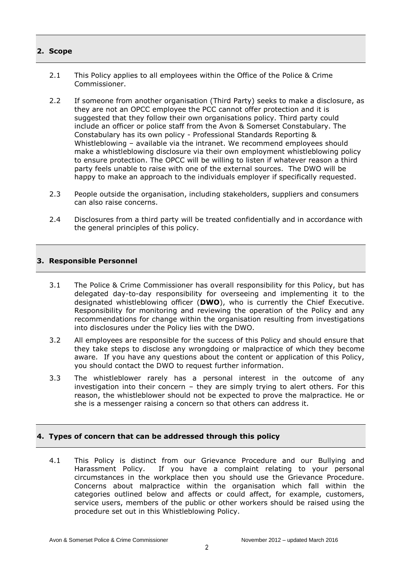# **2. Scope**

- 2.1 This Policy applies to all employees within the Office of the Police & Crime Commissioner.
- 2.2 If someone from another organisation (Third Party) seeks to make a disclosure, as they are not an OPCC employee the PCC cannot offer protection and it is suggested that they follow their own organisations policy. Third party could include an officer or police staff from the Avon & Somerset Constabulary. The Constabulary has its own policy - Professional Standards Reporting & Whistleblowing – available via the intranet. We recommend employees should make a whistleblowing disclosure via their own employment whistleblowing policy to ensure protection. The OPCC will be willing to listen if whatever reason a third party feels unable to raise with one of the external sources. The DWO will be happy to make an approach to the individuals employer if specifically requested.
- 2.3 People outside the organisation, including stakeholders, suppliers and consumers can also raise concerns.
- 2.4 Disclosures from a third party will be treated confidentially and in accordance with the general principles of this policy.

#### **3. Responsible Personnel**

- 3.1 The Police & Crime Commissioner has overall responsibility for this Policy, but has delegated day-to-day responsibility for overseeing and implementing it to the designated whistleblowing officer (**DWO**), who is currently the Chief Executive. Responsibility for monitoring and reviewing the operation of the Policy and any recommendations for change within the organisation resulting from investigations into disclosures under the Policy lies with the DWO.
- 3.2 All employees are responsible for the success of this Policy and should ensure that they take steps to disclose any wrongdoing or malpractice of which they become aware. If you have any questions about the content or application of this Policy, you should contact the DWO to request further information.
- 3.3 The whistleblower rarely has a personal interest in the outcome of any investigation into their concern – they are simply trying to alert others. For this reason, the whistleblower should not be expected to prove the malpractice. He or she is a messenger raising a concern so that others can address it.

# **4. Types of concern that can be addressed through this policy**

4.1 This Policy is distinct from our Grievance Procedure and our Bullying and Harassment Policy. If you have a complaint relating to your personal circumstances in the workplace then you should use the Grievance Procedure. Concerns about malpractice within the organisation which fall within the categories outlined below and affects or could affect, for example, customers, service users, members of the public or other workers should be raised using the procedure set out in this Whistleblowing Policy.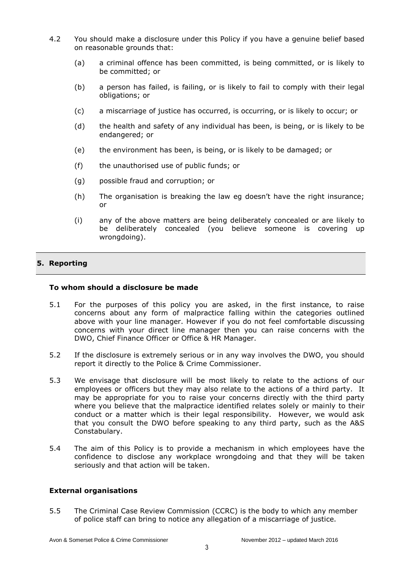- 4.2 You should make a disclosure under this Policy if you have a genuine belief based on reasonable grounds that:
	- (a) a criminal offence has been committed, is being committed, or is likely to be committed; or
	- (b) a person has failed, is failing, or is likely to fail to comply with their legal obligations; or
	- (c) a miscarriage of justice has occurred, is occurring, or is likely to occur; or
	- (d) the health and safety of any individual has been, is being, or is likely to be endangered; or
	- (e) the environment has been, is being, or is likely to be damaged; or
	- (f) the unauthorised use of public funds; or
	- (g) possible fraud and corruption; or
	- (h) The organisation is breaking the law eg doesn't have the right insurance; or
	- (i) any of the above matters are being deliberately concealed or are likely to be deliberately concealed (you believe someone is covering up wrongdoing).

# **5. Reporting**

#### **To whom should a disclosure be made**

- 5.1 For the purposes of this policy you are asked, in the first instance, to raise concerns about any form of malpractice falling within the categories outlined above with your line manager. However if you do not feel comfortable discussing concerns with your direct line manager then you can raise concerns with the DWO, Chief Finance Officer or Office & HR Manager.
- 5.2 If the disclosure is extremely serious or in any way involves the DWO, you should report it directly to the Police & Crime Commissioner.
- 5.3 We envisage that disclosure will be most likely to relate to the actions of our employees or officers but they may also relate to the actions of a third party. It may be appropriate for you to raise your concerns directly with the third party where you believe that the malpractice identified relates solely or mainly to their conduct or a matter which is their legal responsibility. However, we would ask that you consult the DWO before speaking to any third party, such as the A&S Constabulary.
- 5.4 The aim of this Policy is to provide a mechanism in which employees have the confidence to disclose any workplace wrongdoing and that they will be taken seriously and that action will be taken.

#### **External organisations**

5.5 The Criminal Case Review Commission (CCRC) is the body to which any member of police staff can bring to notice any allegation of a miscarriage of justice.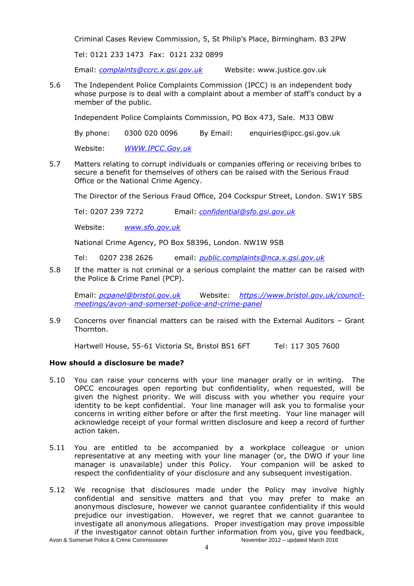Criminal Cases Review Commission, 5, St Philip's Place, Birmingham. B3 2PW

Tel: 0121 233 1473 Fax: 0121 232 0899

Email: *[complaints@ccrc.x.gsi.gov.uk](mailto:complaints@ccrc.x.gsi.gov.uk)* Website: www.justice.gov.uk

5.6 The Independent Police Complaints Commission (IPCC) is an independent body whose purpose is to deal with a complaint about a member of staff's conduct by a member of the public.

Independent Police Complaints Commission, PO Box 473, Sale. M33 OBW

By phone: 0300 020 0096 By Email: enquiries@ipcc.gsi.gov.uk

Website: *[WWW.IPCC.Gov.uk](http://www.ipcc.gov.uk/)*

5.7 Matters relating to corrupt individuals or companies offering or receiving bribes to secure a benefit for themselves of others can be raised with the Serious Fraud Office or the National Crime Agency.

The Director of the Serious Fraud Office, 204 Cockspur Street, London. SW1Y 5BS

Tel: 0207 239 7272 Email: *[confidential@sfo.gsi.gov.uk](mailto:confidential@sfo.gsi.gov.uk)*

Website: *[www.sfo.gov.uk](http://www.sfo.gov.uk/)*

National Crime Agency, PO Box 58396, London. NW1W 9SB

Tel: 0207 238 2626 email: *[public.complaints@nca.x.gsi.gov.uk](mailto:public.complaints@nca.x.gsi.gov.uk)*

5.8 If the matter is not criminal or a serious complaint the matter can be raised with the Police & Crime Panel (PCP).

Email: *[pcpanel@bristol.gov.uk](mailto:pcpanel@bristol.gov.uk)* Website: *[https://www.bristol.gov.uk/council](https://www.bristol.gov.uk/council-meetings/avon-and-somerset-police-and-crime-panel)[meetings/avon-and-somerset-police-and-crime-panel](https://www.bristol.gov.uk/council-meetings/avon-and-somerset-police-and-crime-panel)*

5.9 Concerns over financial matters can be raised with the External Auditors – Grant Thornton.

Hartwell House, 55-61 Victoria St, Bristol BS1 6FT Tel: 117 305 7600

# **How should a disclosure be made?**

- 5.10 You can raise your concerns with your line manager orally or in writing. The OPCC encourages open reporting but confidentiality, when requested, will be given the highest priority. We will discuss with you whether you require your identity to be kept confidential. Your line manager will ask you to formalise your concerns in writing either before or after the first meeting. Your line manager will acknowledge receipt of your formal written disclosure and keep a record of further action taken.
- 5.11 You are entitled to be accompanied by a workplace colleague or union representative at any meeting with your line manager (or, the DWO if your line manager is unavailable) under this Policy. Your companion will be asked to respect the confidentiality of your disclosure and any subsequent investigation.
- 5.12 We recognise that disclosures made under the Policy may involve highly confidential and sensitive matters and that you may prefer to make an anonymous disclosure, however we cannot guarantee confidentiality if this would prejudice our investigation. However, we regret that we cannot guarantee to investigate all anonymous allegations. Proper investigation may prove impossible if the investigator cannot obtain further information from you, give you feedback,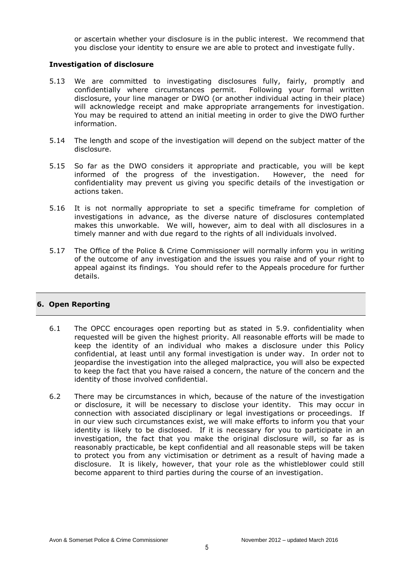or ascertain whether your disclosure is in the public interest. We recommend that you disclose your identity to ensure we are able to protect and investigate fully.

#### **Investigation of disclosure**

- 5.13 We are committed to investigating disclosures fully, fairly, promptly and confidentially where circumstances permit. Following your formal written disclosure, your line manager or DWO (or another individual acting in their place) will acknowledge receipt and make appropriate arrangements for investigation. You may be required to attend an initial meeting in order to give the DWO further information.
- 5.14 The length and scope of the investigation will depend on the subject matter of the disclosure.
- 5.15 So far as the DWO considers it appropriate and practicable, you will be kept informed of the progress of the investigation. However, the need for confidentiality may prevent us giving you specific details of the investigation or actions taken.
- 5.16 It is not normally appropriate to set a specific timeframe for completion of investigations in advance, as the diverse nature of disclosures contemplated makes this unworkable. We will, however, aim to deal with all disclosures in a timely manner and with due regard to the rights of all individuals involved.
- 5.17 The Office of the Police & Crime Commissioner will normally inform you in writing of the outcome of any investigation and the issues you raise and of your right to appeal against its findings. You should refer to the Appeals procedure for further details.

# **6. Open Reporting**

- 6.1 The OPCC encourages open reporting but as stated in 5.9. confidentiality when requested will be given the highest priority. All reasonable efforts will be made to keep the identity of an individual who makes a disclosure under this Policy confidential, at least until any formal investigation is under way. In order not to jeopardise the investigation into the alleged malpractice, you will also be expected to keep the fact that you have raised a concern, the nature of the concern and the identity of those involved confidential.
- 6.2 There may be circumstances in which, because of the nature of the investigation or disclosure, it will be necessary to disclose your identity. This may occur in connection with associated disciplinary or legal investigations or proceedings. If in our view such circumstances exist, we will make efforts to inform you that your identity is likely to be disclosed. If it is necessary for you to participate in an investigation, the fact that you make the original disclosure will, so far as is reasonably practicable, be kept confidential and all reasonable steps will be taken to protect you from any victimisation or detriment as a result of having made a disclosure. It is likely, however, that your role as the whistleblower could still become apparent to third parties during the course of an investigation.